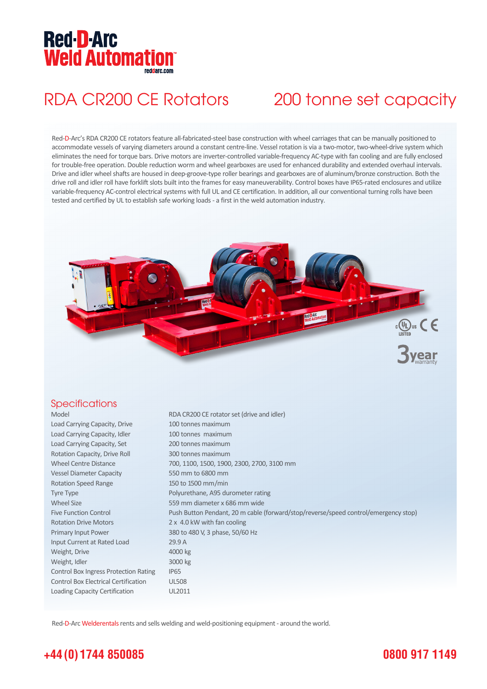### **Red-D-Arc Weld Automation®** rendare com

## RDA CR200 CE Rotators 200 tonne set capacity

Red-D-Arc's RDA CR200 CE rotators feature all-fabricated-steel base construction with wheel carriages that can be manually positioned to accommodate vessels of varying diameters around a constant centre-line. Vessel rotation is via a two-motor, two-wheel-drive system which eliminates the need for torque bars. Drive motors are inverter-controlled variable-frequency AC-type with fan cooling and are fully enclosed for trouble-free operation. Double reduction worm and wheel gearboxes are used for enhanced durability and extended overhaul intervals. Drive and idler wheel shafts are housed in deep-groove-type roller bearings and gearboxes are of aluminum/bronze construction. Both the drive roll and idler roll have forklift slots built into the frames for easy maneuverability. Control boxes have IP65-rated enclosures and utilize variable-frequency AC-control electrical systems with full UL and CE certification. In addition, all our conventional turning rolls have been tested and certified by UL to establish safe working loads - a first in the weld automation industry.



#### **Specifications**

| Model                                       | RDA CR200 CE rotator set (drive and idler)                                          |
|---------------------------------------------|-------------------------------------------------------------------------------------|
| Load Carrying Capacity, Drive               | 100 tonnes maximum                                                                  |
| Load Carrying Capacity, Idler               | 100 tonnes maximum                                                                  |
| Load Carrying Capacity, Set                 | 200 tonnes maximum                                                                  |
| Rotation Capacity, Drive Roll               | 300 tonnes maximum                                                                  |
| <b>Wheel Centre Distance</b>                | 700, 1100, 1500, 1900, 2300, 2700, 3100 mm                                          |
| <b>Vessel Diameter Capacity</b>             | 550 mm to 6800 mm                                                                   |
| <b>Rotation Speed Range</b>                 | 150 to 1500 mm/min                                                                  |
| <b>Tyre Type</b>                            | Polyurethane, A95 durometer rating                                                  |
| <b>Wheel Size</b>                           | 559 mm diameter x 686 mm wide                                                       |
| <b>Five Function Control</b>                | Push Button Pendant, 20 m cable (forward/stop/reverse/speed control/emergency stop) |
| <b>Rotation Drive Motors</b>                | 2 x 4.0 kW with fan cooling                                                         |
| Primary Input Power                         | 380 to 480 V, 3 phase, 50/60 Hz                                                     |
| Input Current at Rated Load                 | 29.9A                                                                               |
| Weight, Drive                               | 4000 kg                                                                             |
| Weight, Idler                               | 3000 kg                                                                             |
| Control Box Ingress Protection Rating       | <b>IP65</b>                                                                         |
| <b>Control Box Electrical Certification</b> | <b>UL508</b>                                                                        |
| Loading Capacity Certification              | UL2011                                                                              |

Red-D-Arc Welderentals rents and sells welding and weld-positioning equipment - around the world.

## **+44 (0) 1744 850085**

### **0800 917 1149**